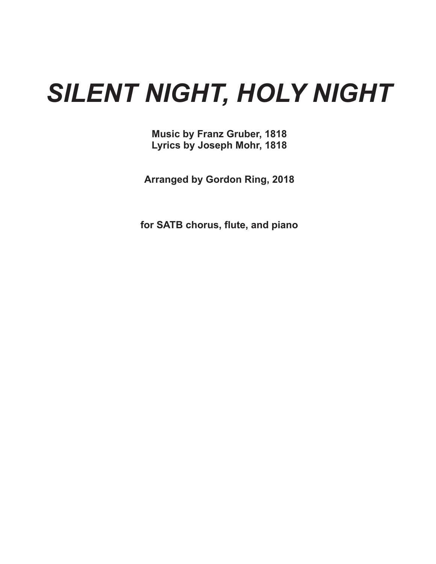## *SILENT NIGHT, HOLY NIGHT*

**Music by Franz Gruber, 1818 Lyrics by Joseph Mohr, 1818**

**Arranged by Gordon Ring, 2018**

**for SATB chorus, flute, and piano**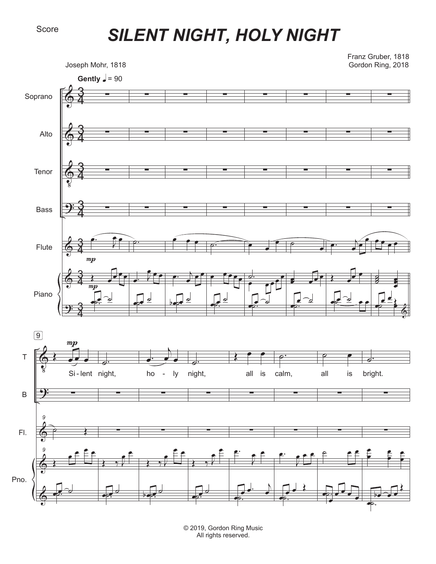## *SILENT NIGHT, HOLY NIGHT*



© 2019, Gordon Ring Music All rights reserved.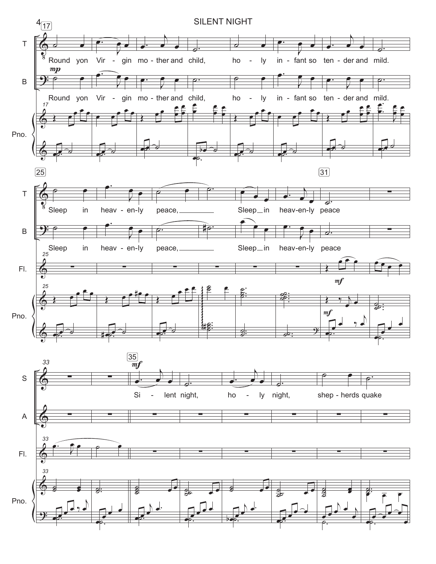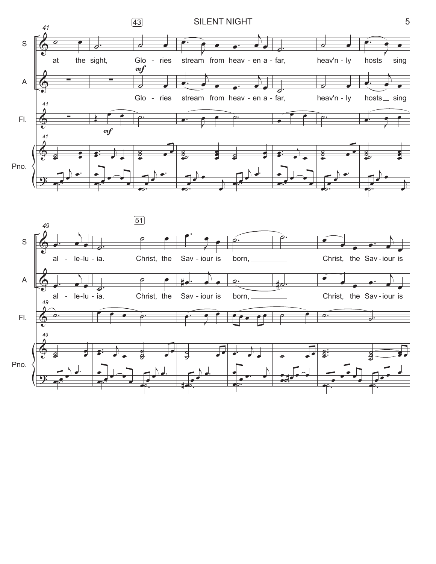

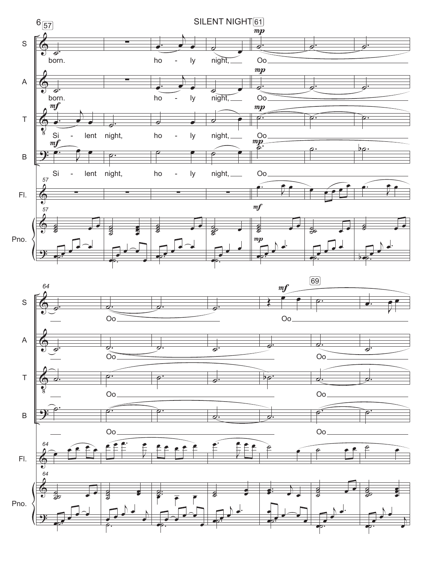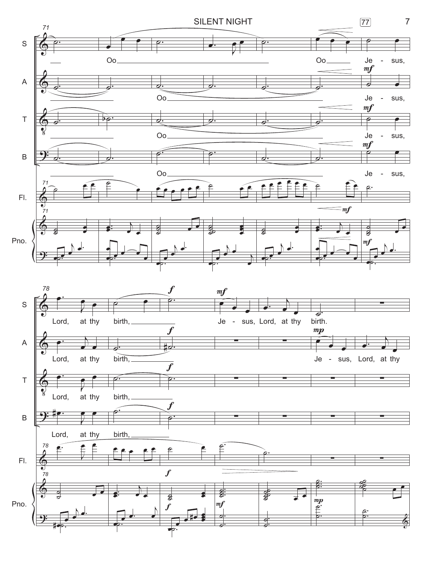